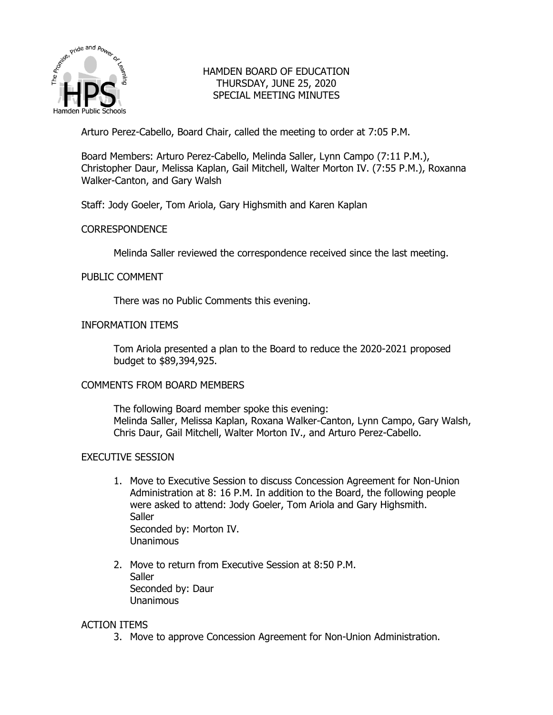

# HAMDEN BOARD OF EDUCATION THURSDAY, JUNE 25, 2020 SPECIAL MEETING MINUTES

Arturo Perez-Cabello, Board Chair, called the meeting to order at 7:05 P.M.

Board Members: Arturo Perez-Cabello, Melinda Saller, Lynn Campo (7:11 P.M.), Christopher Daur, Melissa Kaplan, Gail Mitchell, Walter Morton IV. (7:55 P.M.), Roxanna Walker-Canton, and Gary Walsh

Staff: Jody Goeler, Tom Ariola, Gary Highsmith and Karen Kaplan

## **CORRESPONDENCE**

Melinda Saller reviewed the correspondence received since the last meeting.

## PUBLIC COMMENT

There was no Public Comments this evening.

## INFORMATION ITEMS

Tom Ariola presented a plan to the Board to reduce the 2020-2021 proposed budget to \$89,394,925.

### COMMENTS FROM BOARD MEMBERS

The following Board member spoke this evening: Melinda Saller, Melissa Kaplan, Roxana Walker-Canton, Lynn Campo, Gary Walsh, Chris Daur, Gail Mitchell, Walter Morton IV., and Arturo Perez-Cabello.

### EXECUTIVE SESSION

- 1. Move to Executive Session to discuss Concession Agreement for Non-Union Administration at 8: 16 P.M. In addition to the Board, the following people were asked to attend: Jody Goeler, Tom Ariola and Gary Highsmith. **Saller** Seconded by: Morton IV. Unanimous
- 2. Move to return from Executive Session at 8:50 P.M. **Saller** Seconded by: Daur Unanimous

### ACTION ITEMS

3. Move to approve Concession Agreement for Non-Union Administration.